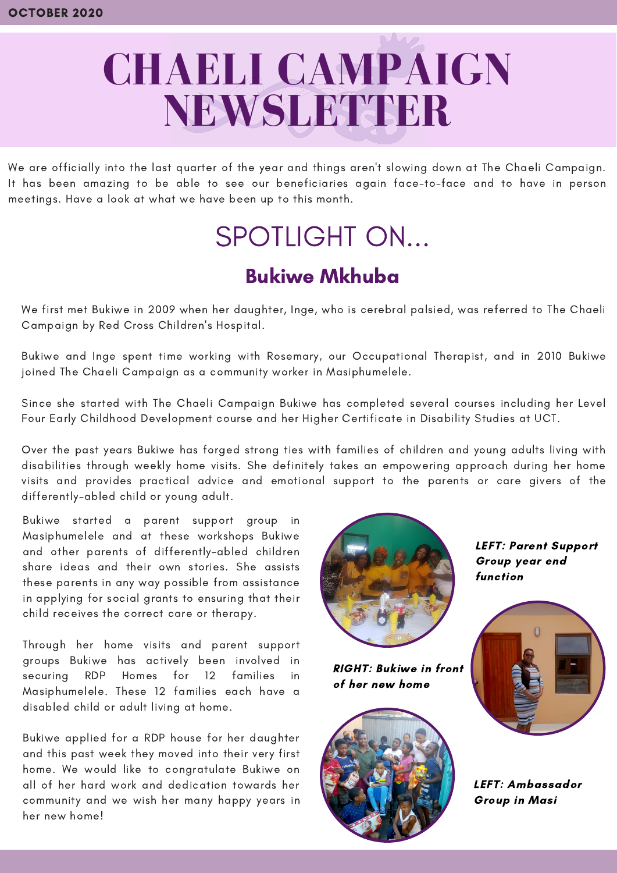# **CHAELI CAMPAIGN NEWSLETTER**

We are officially into the last quarter of the year and things aren't slowing down at The Chaeli Campaign. It has been amazing to be able to see our beneficiaries again face-to-face and to have in person meetings. Have a look at what we have been up to this month.

# SPOTLIGHT ON...

# Bukiwe Mkhuba

We first met Bukiwe in 2009 when her daughter, Inge, who is cerebral palsied, was referred to The Chaeli Campaign by Red Cross Children's Hospital.

Bukiwe and Inge spent time working with Rosemary, our Occupational Therapist, and in 2010 Bukiwe joined The Chaeli Campaign as a community worker in Masiphumelele.

Since she started with The Chaeli Campaign Bukiwe has completed several courses including her Level Four Early Childhood Development course and her Higher Certificate in Disability Studies at UCT.

Over the past years Bukiwe has forged strong ties with families of children and young adults living with disabilities through weekly home visits. She definitely takes an empowering approach during her home visits and provides practical advice and emotional support to the parents or care givers of the differently-abled child or young adult.

Bukiwe started a parent support group in Masiphumelele and at these workshops Bukiwe and other parents of differently-abled children share ideas and their own stories. She assists these parents in any way possible from assistance in applying for social grants to ensuring that their child receives the correct care or therapy.

Through her home visits and parent support groups Bukiwe has actively been involved in securing RDP Homes for 12 families in Masiphumelele. These 12 families each have a disabled child or adult living at home.

Bukiwe applied for a RDP house for her daughter and this past week they moved into their very first home. We would like to congratulate Bukiwe on all of her hard work and dedication towards her community and we wish her many happy years in her new home!



RIGHT: Bukiwe in front of her new home



LEFT: Parent Support Group year end function



LEFT: Ambassador Group in Masi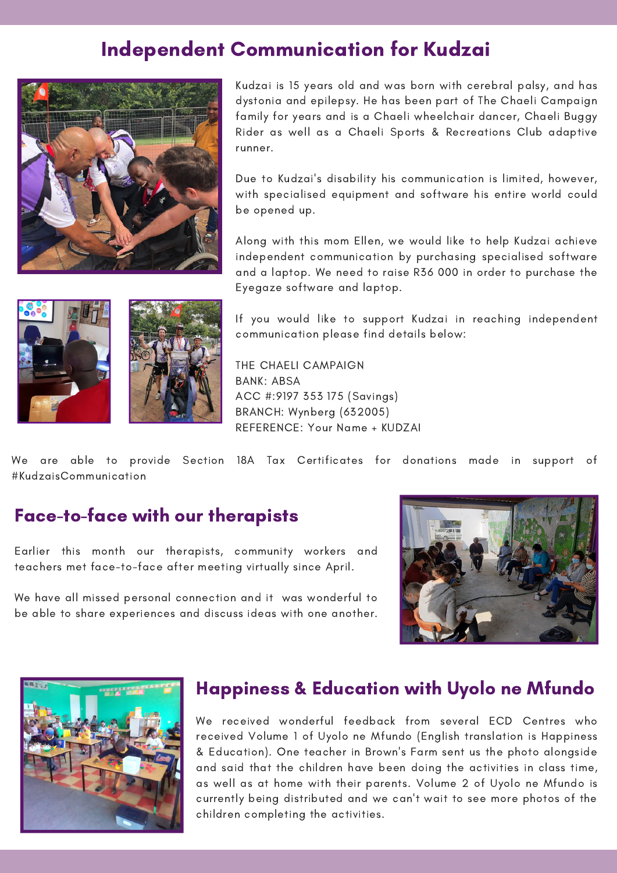### Independent Communication for Kudzai



b years old and was born with cerebral palsy,<br>nd epilepsy. He has been part of The Chaeli C<br>vears and is a Chaeli wheelchair dancer. Chae Kudzai is 15 years old and was born with cerebral palsy, and has dystonia and epilepsy. He has been part of The Chaeli Campaign family for years and is a Chaeli wheelchair dancer, Chaeli Buggy Rider as well as a Chaeli Sports & Recreations Club adaptive runner.

Due to Kudzai's disability his communication is limited, however, with specialised equipment and software his entire world could be opened up.

Along with this mom Ellen, we would like to help Kudzai achieve independent communication by purchasing specialised software and a laptop. We need to raise R36 000 in order to purchase the Eyegaze software and laptop.





If you would like to support Kudzai in reaching independent communication please find details below:

THE CHAELI CAMPAIGN BANK: ABSA ACC #:9197 353 175 (Savings) BRANCH: Wynberg (632005) REFERENCE: Your Name + KUDZAI

We are able to provide Section 18A Tax Certificates for donations made in support of #KudzaisCommunication

#### Face-to-face with our therapists

Earlier this month our therapists, community workers and teachers met face-to-face after meeting virtually since April.

We have all missed personal connection and it was wonderful to be able to share experiences and discuss ideas with one another.





#### Happiness & Education with Uyolo ne Mfundo

We received wonderful feedback from several ECD Centres who received Volume 1 of Uyolo ne Mfundo (English translation is Happiness & Education). One teacher in Brown's Farm sent us the photo alongside and said that the children have been doing the activities in class time, as well as at home with their parents. Volume 2 of Uyolo ne Mfundo is currently being distributed and we can't wait to see more photos of the children completing the activities.